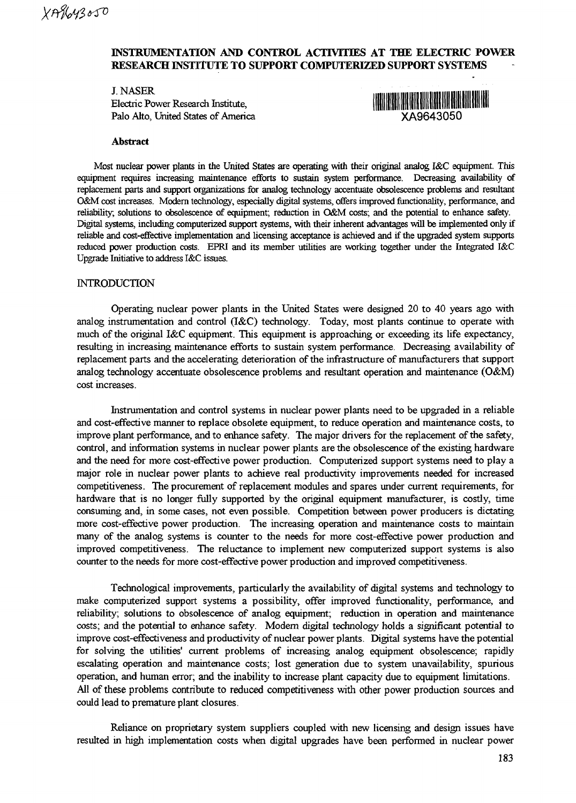# **INSTRUMENTATION AND CONTROL ACTIVITIES AT THE ELECTRIC POWER RESEARCH INSTITUTE TO SUPPORT COMPUTERIZED SUPPORT SYSTEMS**

J.NASER Electric Power Research Institute, Palo Alto, United States of America **XA9643050**



#### **Abstract**

Most nuclear power plants in the United States are operating with their original analog I&C equipment. This equipment requires increasing maintenance efforts to sustain system performance. Decreasing availability of replacement parts and support organizations for analog technology accentuate obsolescence problems and resultant O&M cost increases. Modern technology, especially digital systems, offers improved functionality, performance, and reliability, solutions to obsolescence of equipment; reduction in O&M costs; and the potential to enhance safely. Digital systems, including computerized support systems, with their inherent advantages will be implemented only if reliable and cost-effective implementation and licensing acceptance is achieved and if the upgraded system supports reduced power production costs. EPRI and its member utilities are working together under the Integrated I&C Upgrade Initiative to address I&C issues.

#### **INTRODUCTION**

Operating nuclear power plants in the United States were designed 20 to 40 years ago with analog instrumentation and control (I&C) technology. Today, most plants continue to operate with much of the original I&C equipment. This equipment is approaching or exceeding its life expectancy, resulting in increasing maintenance efforts to sustain system performance. Decreasing availability of replacement parts and the accelerating deterioration of the infrastructure of manufacturers that support analog technology accentuate obsolescence problems and resultant operation and maintenance (O&M) cost increases.

Instrumentation and control systems in nuclear power plants need to be upgraded in a reliable and cost-effective manner to replace obsolete equipment, to reduce operation and maintenance costs, to improve plant performance, and to enhance safety. The major drivers for the replacement of the safety, control, and information systems in nuclear power plants are the obsolescence of the existing hardware and the need for more cost-effective power production. Computerized support systems need to play a major role in nuclear power plants to achieve real productivity improvements needed for increased competitiveness. The procurement of replacement modules and spares under current requirements, for hardware that is no longer fully supported by the original equipment manufacturer, is costly, time consuming and, in some cases, not even possible. Competition between power producers is dictating more cost-effective power production. The increasing operation and maintenance costs to maintain many of the analog systems is counter to the needs for more cost-effective power production and improved competitiveness. The reluctance to implement new computerized support systems is also counter to the needs for more cost-effective power production and improved competitiveness.

Technological improvements, particularly the availability of digital systems and technology to make computerized support systems a possibility, offer improved functionality, performance, and reliability; solutions to obsolescence of analog equipment; reduction in operation and maintenance costs; and the potential to enhance safety. Modern digital technology holds a significant potential to improve cost-effectiveness and productivity of nuclear power plants. Digital systems have the potential for solving the utilities' current problems of increasing analog equipment obsolescence; rapidly escalating operation and maintenance costs; lost generation due to system unavailability, spurious operation, and human error; and the inability to increase plant capacity due to equipment limitations. All of these problems contribute to reduced competitiveness with other power production sources and could lead to premature plant closures.

Reliance on proprietary system suppliers coupled with new licensing and design issues have resulted in high implementation costs when digital upgrades have been performed in nuclear power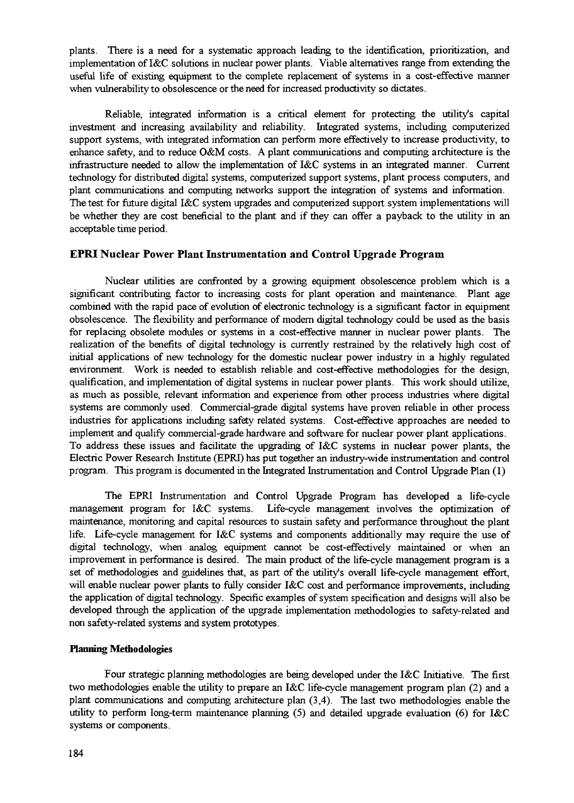plants. There is a need for a systematic approach leading to the identification, prioritization, and implementation of I&C solutions in nuclear power plants. Viable alternatives range from extending the useful life of existing equipment to the complete replacement of systems in a cost-effective manner when vulnerability to obsolescence or the need for increased productivity so dictates.

Reliable, integrated information is a critical element for protecting the utility's capital investment and increasing availability and reliability. Integrated systems, including computerized support systems, with integrated information can perform more effectively to increase productivity, to enhance safety, and to reduce O&M costs. A plant communications and computing architecture is the infrastructure needed to allow the implementation of I&C systems in an integrated manner. Current technology for distributed digital systems, computerized support systems, plant process computers, and plant communications and computing networks support the integration of systems and information. The test for future digital I&C system upgrades and computerized support system implementations will be whether they are cost beneficial to the plant and if they can offer a payback to the utility in an acceptable time period.

# **EPRI Nuclear Power Plant Instrumentation and Control Upgrade Program**

Nuclear utilities are confronted by a growing equipment obsolescence problem which is a significant contributing factor to increasing costs for plant operation and maintenance. Plant age combined with the rapid pace of evolution of electronic technology is a significant factor in equipment obsolescence. The flexibility and performance of modern digital technology could be used as the basis for replacing obsolete modules or systems in a cost-effective manner in nuclear power plants. The realization of the benefits of digital technology is currently restrained by the relatively high cost of initial applications of new technology for the domestic nuclear power industry in a highly regulated environment. Work is needed to establish reliable and cost-effective methodologies for the design, qualification, and implementation of digital systems in nuclear power plants. This work should utilize, as much as possible, relevant information and experience from other process industries where digital systems are commonly used. Commercial-grade digital systems have proven reliable in other process industries for applications including safety related systems. Cost-effective approaches are needed to implement and qualify commercial-grade hardware and software for nuclear power plant applications. To address these issues and facilitate the upgrading of I&C systems in nuclear power plants, the Electric Power Research Institute (EPRI) has put together an industry-wide instrumentation and control program. This program is documented in the Integrated Instrumentation and Control Upgrade Plan (1)

The EPRI Instrumentation and Control Upgrade Program has developed a life-cycle management program for I&C systems. Life-cycle management involves the optimization of maintenance, monitoring and capital resources to sustain safety and performance throughout the plant life. Life-cycle management for I&C systems and components additionally may require the use of digital technology, when analog equipment cannot be cost-effectively maintained or when an improvement in performance is desired. The main product of the life-cycle management program is a set of methodologies and guidelines that, as part of the utility's overall life-cycle management effort, will enable nuclear power plants to fully consider I&C cost and performance improvements, including the application of digital technology. Specific examples of system specification and designs will also be developed through the application of the upgrade implementation methodologies to safety-related and non safety-related systems and system prototypes.

## **Harming Methodologies**

Four strategic planning methodologies are being developed under the I&C Initiative. The first two methodologies enable the utility to prepare an I&C life-cycle management program plan (2) and a plant communications and computing architecture plan (3,4). The last two methodologies enable the utility to perform long-term maintenance planning (5) and detailed upgrade evaluation (6) for I&C systems or components.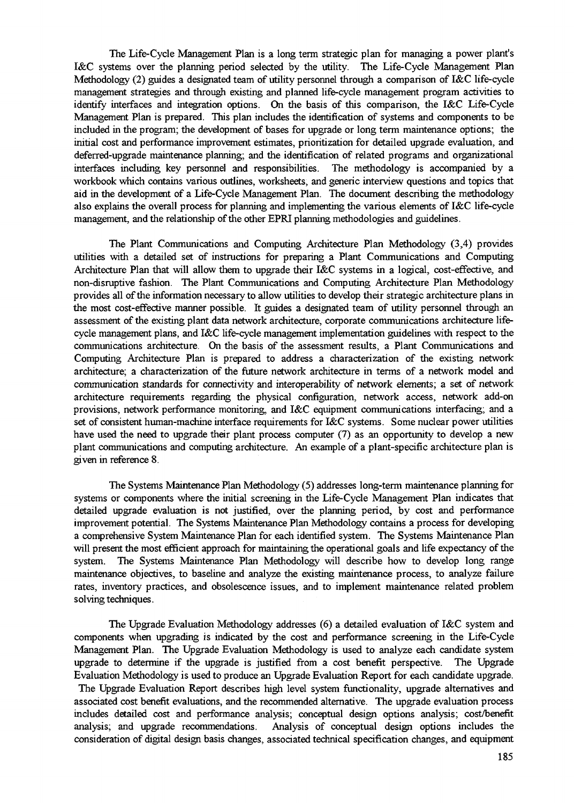The Life-Cycle Management Plan is a long term strategic plan for managing a power plant's I&C systems over the planning period selected by the utility. The Life-Cycle Management Plan Methodology (2) guides a designated team of utility personnel through a comparison of I&C life-cycle management strategies and through existing and planned life-cycle management program activities to identify interfaces and integration options. On the basis of this comparison, the I&C Life-Cycle Management Plan is prepared. This plan includes the identification of systems and components to be included in the program; the development of bases for upgrade or long term maintenance options; the initial cost and performance improvement estimates, prioritization for detailed upgrade evaluation, and deferred-upgrade maintenance planning; and the identification of related programs and organizational interfaces including key personnel and responsibilities. The methodology is accompanied by a workbook which contains various outlines, worksheets, and generic interview questions and topics that aid in the development of a Life-Cycle Management Plan. The document describing the methodology also explains the overall process for planning and implementing the various elements of I&C life-cycle management, and the relationship of the other EPRI planning methodologies and guidelines.

The Plant Communications and Computing Architecture Plan Methodology (3,4) provides utilities with a detailed set of instructions for preparing a Plant Communications and Computing Architecture Plan that will allow them to upgrade their I&C systems in a logical, cost-effective, and non-disruptive fashion. The Plant Communications and Computing Architecture Plan Methodology provides all of the information necessary to allow utilities to develop their strategic architecture plans in the most cost-effective manner possible. It guides a designated team of utility personnel through an assessment of the existing plant data network architecture, corporate communications architecture lifecycle management plans, and I&C life-cycle management implementation guidelines with respect to the communications architecture. On the basis of the assessment results, a Plant Communications and Computing Architecture Plan is prepared to address a characterization of the existing network architecture; a characterization of the future network architecture in terms of a network model and communication standards for connectivity and interoperability of network elements; a set of network architecture requirements regarding the physical configuration, network access, network add-on provisions, network performance monitoring, and I&C equipment communications interfacing; and a set of consistent human-machine interface requirements for I&C systems. Some nuclear power utilities have used the need to upgrade their plant process computer (7) as an opportunity to develop a new plant communications and computing architecture. An example of a plant-specific architecture plan is given in reference 8.

The Systems Maintenance Plan Methodology (5) addresses long-term maintenance planning for systems or components where the initial screening in the Life-Cycle Management Plan indicates that detailed upgrade evaluation is not justified, over the planning period, by cost and performance improvement potential. The Systems Maintenance Plan Methodology contains a process for developing a comprehensive System Maintenance Plan for each identified system. The Systems Maintenance Plan will present the most efficient approach for maintaining the operational goals and life expectancy of the system. The Systems Maintenance Plan Methodology will describe how to develop long range maintenance objectives, to baseline and analyze the existing maintenance process, to analyze failure rates, inventory practices, and obsolescence issues, and to implement maintenance related problem solving techniques.

The Upgrade Evaluation Methodology addresses (6) a detailed evaluation of I&C system and components when upgrading is indicated by the cost and performance screening in the Life-Cycle Management Plan. The Upgrade Evaluation Methodology is used to analyze each candidate system upgrade to determine if the upgrade is justified from a cost benefit perspective. The Upgrade Evaluation Methodology is used to produce an Upgrade Evaluation Report for each candidate upgrade. The Upgrade Evaluation Report describes high level system functionality, upgrade alternatives and associated cost benefit evaluations, and the recommended alternative. The upgrade evaluation process includes detailed cost and performance analysis; conceptual design options analysis; cost/benefit analysis; and upgrade recommendations. Analysis of conceptual design options includes the consideration of digital design basis changes, associated technical specification changes, and equipment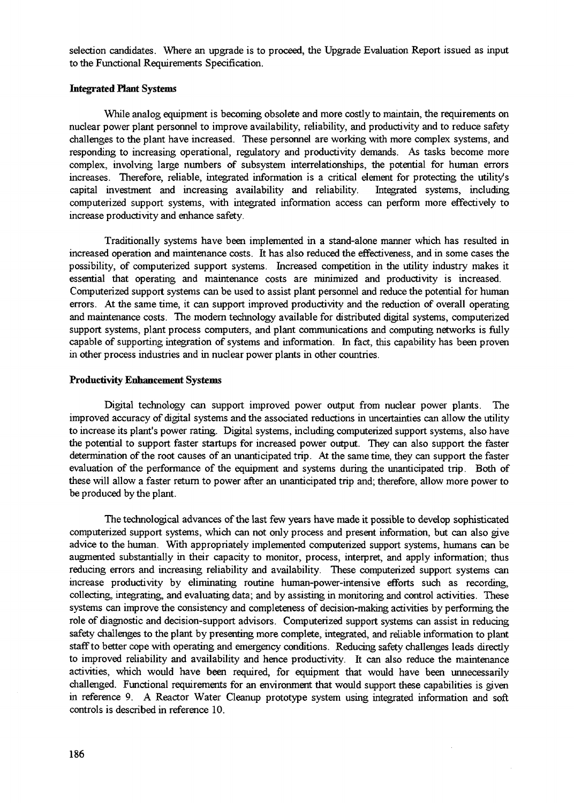selection candidates. Where an upgrade is to proceed, the Upgrade Evaluation Report issued as input to the Functional Requirements Specification.

## Integrated Plant Systems

While analog equipment is becoming obsolete and more costly to maintain, the requirements on nuclear power plant personnel to improve availability, reliability, and productivity and to reduce safety challenges to the plant have increased. These personnel are working with more complex systems, and responding to increasing operational, regulatory and productivity demands. As tasks become more complex, involving large numbers of subsystem interrelationships, the potential for human errors increases. Therefore, reliable, integrated information is a critical element for protecting the utility's capital investment and increasing availability and reliability. Integrated systems, including computerized support systems, with integrated information access can perform more effectively to increase productivity and enhance safety.

Traditionally systems have been implemented in a stand-alone manner which has resulted in increased operation and maintenance costs. It has also reduced the effectiveness, and in some cases the possibility, of computerized support systems. Increased competition in the utility industry makes it essential that operating and maintenance costs are minimized and productivity is increased. Computerized support systems can be used to assist plant personnel and reduce the potential for human errors. At the same time, it can support improved productivity and the reduction of overall operating and maintenance costs. The modem technology available for distributed digital systems, computerized support systems, plant process computers, and plant communications and computing networks is fully capable of supporting integration of systems and information. In fact, this capability has been proven in other process industries and in nuclear power plants in other countries.

#### Productivity Enhancement Systems

Digital technology can support improved power output from nuclear power plants. The improved accuracy of digital systems and the associated reductions in uncertainties can allow the utility to increase its plant's power rating. Digital systems, including computerized support systems, also have the potential to support faster startups for increased power output. They can also support the faster determination of the root causes of an unanticipated trip. At the same time, they can support the faster evaluation of the performance of the equipment and systems during the unanticipated trip. Both of these will allow a faster return to power after an unanticipated trip and; therefore, allow more power to be produced by the plant.

The technological advances of the last few years have made it possible to develop sophisticated computerized support systems, which can not only process and present information, but can also give advice to the human. With appropriately implemented computerized support systems, humans can be augmented substantially in their capacity to monitor, process, interpret, and apply information; thus reducing errors and increasing reliability and availability. These computerized support systems can increase productivity by eliminating routine human-power-intensive efforts such as recording, collecting, integrating, and evaluating data; and by assisting in monitoring and control activities. These systems can improve the consistency and completeness of decision-making activities by performing the role of diagnostic and decision-support advisors. Computerized support systems can assist in reducing safety challenges to the plant by presenting more complete, integrated, and reliable information to plant staff to better cope with operating and emergency conditions. Reducing safety challenges leads directly to improved reliability and availability and hence productivity. It can also reduce the maintenance activities, which would have been required, for equipment that would have been unnecessarily challenged. Functional requirements for an environment that would support these capabilities is given in reference 9. A Reactor Water Cleanup prototype system using integrated information and soft controls is described in reference 10.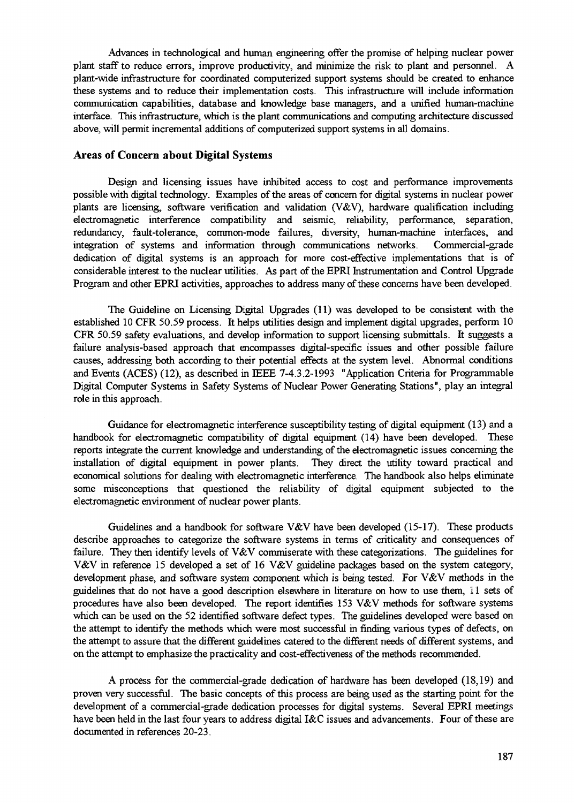Advances in technological and human engineering offer the promise of helping nuclear power plant staff to reduce errors, improve productivity, and minimize the risk to plant and personnel. A plant-wide infrastructure for coordinated computerized support systems should be created to enhance these systems and to reduce their implementation costs. This infrastructure will include information communication capabilities, database and knowledge base managers, and a unified human-machine interface. This infrastructure, which is the plant communications and computing architecture discussed above, will permit incremental additions of computerized support systems in all domains.

## **Areas of Concern about Digital Systems**

Design and licensing issues have inhibited access to cost and performance improvements possible with digital technology. Examples of the areas of concern for digital systems in nuclear power plants are licensing, software verification and validation (V&V), hardware qualification including electromagnetic interference compatibility and seismic, reliability, performance, separation, redundancy, fault-tolerance, common-mode failures, diversity, human-machine interfaces, and integration of systems and information through communications networks. Commercial-grade dedication of digital systems is an approach for more cost-effective implementations that is of considerable interest to the nuclear utilities. As part of the EPRI Instrumentation and Control Upgrade Program and other EPRI activities, approaches to address many of these concerns have been developed.

The Guideline on Licensing Digital Upgrades (11) was developed to be consistent with the established 10 CFR 50.59 process. It helps utilities design and implement digital upgrades, perform 10 CFR 50.59 safety evaluations, and develop information to support licensing submittals. It suggests a failure analysis-based approach that encompasses digital-specific issues and other possible failure causes, addressing both according to their potential effects at the system level. Abnormal conditions and Events (ACES) (12), as described in IEEE 7-4.3.2-1993 "Application Criteria for Programmable Digital Computer Systems in Safety Systems of Nuclear Power Generating Stations", play an integral role in this approach.

Guidance for electromagnetic interference susceptibility testing of digital equipment (13) and a handbook for electromagnetic compatibility of digital equipment (14) have been developed. These reports integrate the current knowledge and understanding of the electromagnetic issues concerning the installation of digital equipment in power plants. They direct the utility toward practical and economical solutions for dealing with electromagnetic interference. The handbook also helps eliminate some misconceptions that questioned the reliability of digital equipment subjected to the electromagnetic environment of nuclear power plants.

Guidelines and a handbook for software V&V have been developed (15-17). These products describe approaches to categorize the software systems in terms of criticality and consequences of failure. They then identify levels of V&V commiserate with these categorizations. The guidelines for V&V in reference 15 developed a set of 16 V&V guideline packages based on the system category, development phase, and software system component which is being tested. For V&V methods in the guidelines that do not have a good description elsewhere in literature on how to use them, 11 sets of procedures have also been developed. The report identifies 153 V&V methods for software systems which can be used on the 52 identified software defect types. The guidelines developed were based on the attempt to identify the methods which were most successful in finding various types of defects, on the attempt to assure that the different guidelines catered to the different needs of different systems, and on the attempt to emphasize the practicality and cost-effectiveness of the methods recommended.

A process for the commercial-grade dedication of hardware has been developed (18,19) and proven very successful. The basic concepts of this process are being used as the starting point for the development of a commercial-grade dedication processes for digital systems. Several EPRI meetings have been held in the last four years to address digital I&C issues and advancements. Four of these are documented in references 20-23.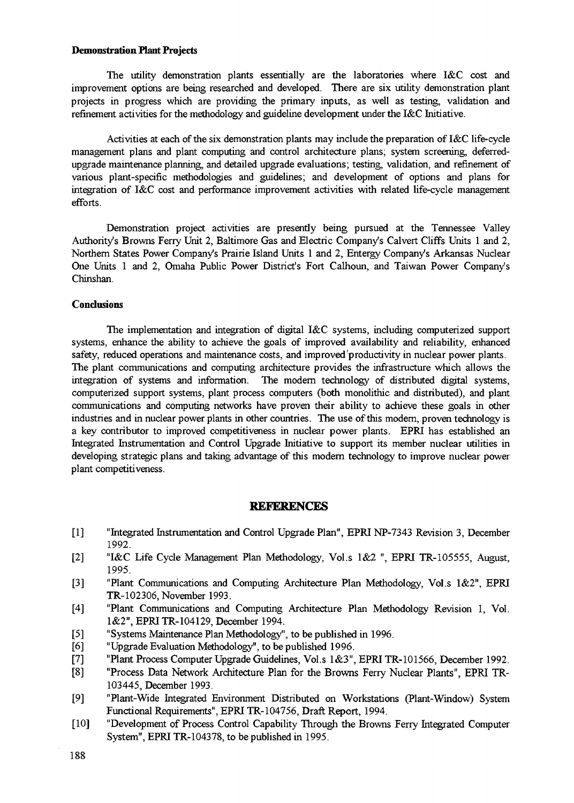### **Demonstration Plant Projects**

The utility demonstration plants essentially are the laboratories where I&C cost and improvement options are being researched and developed. There are six utility demonstration plant projects in progress which are providing the primary inputs, as well as testing, validation and refinement activities for the methodology and guideline development under the I&C Initiative.

Activities at each of the six demonstration plants may include the preparation of I&C life-cycle management plans and plant computing and control architecture plans; system screening, deferredupgrade maintenance planning, and detailed upgrade evaluations; testing, validation, and refinement of various plant-specific methodologies and guidelines; and development of options and plans for integration of I&C cost and performance improvement activities with related life-cycle management efforts.

Demonstration project activities are presently being pursued at the Tennessee Valley Authority's Browns Ferry Unit 2, Baltimore Gas and Electric Company's Calvert Cliffs Units 1 and 2, Northern States Power Company's Prairie Island Units 1 and 2, Entergy Company's Arkansas Nuclear One Units 1 and 2, Omaha Public Power District's Fort Calhoun, and Taiwan Power Company's Chinshan.

## **Conclusions**

The implementation and integration of digital I&C systems, including computerized support systems, enhance the ability to achieve the goals of improved availability and reliability, enhanced safety, reduced operations and maintenance costs, and improved'productivity in nuclear power plants. The plant communications and computing architecture provides the infrastructure which allows the integration of systems and information. The modern technology of distributed digital systems, computerized support systems, plant process computers (both monolithic and distributed), and plant communications and computing networks have proven their ability to achieve these goals in other industries and in nuclear power plants in other countries. The use of this modern, proven technology is a key contributor to improved competitiveness in nuclear power plants. EPRI has established an Integrated Instrumentation and Control Upgrade Initiative to support its member nuclear utilities in developing strategic plans and taking advantage of this modern technology to improve nuclear power plant competitiveness.

#### **REFEBENCES**

- [1] "Integrated Instrumentation and Control Upgrade Plan", EPRI NP-7343 Revision 3, December 1992.
- [2] "I&C Life Cycle Management Plan Methodology, Vol.s 1&2 ", EPRI TR-105555, August, 1995.
- [3] "Plant Communications and Computing Architecture Plan Methodology, Vol.s 1&2", EPRI TR-102306, November 1993.
- [4] "Plant Communications and Computing Architecture Plan Methodology Revision 1, Vol. 1&2", EPRI TR-104129, December 1994.
- [5] "Systems Maintenance Plan Methodology", to be published in 1996.
- [6] "Upgrade Evaluation Methodology", to be published 1996.
- [7] "Plant Process Computer Upgrade Guidelines, Vol.s 1&3", EPRI TR-101566, December 1992.
- [8] "Process Data Network Architecture Plan for the Browns Ferry Nuclear Plants", EPRI TR-103445, December 1993.
- [9] "Plant-Wide Integrated Environment Distributed on Workstations (Plant-Window) System Functional Requirements", EPRI TR-104756, Draft Report, 1994.
- [10] "Development of Process Control Capability Through the Browns Ferry Integrated Computer System", EPRI TR-104378, to be published in 1995.